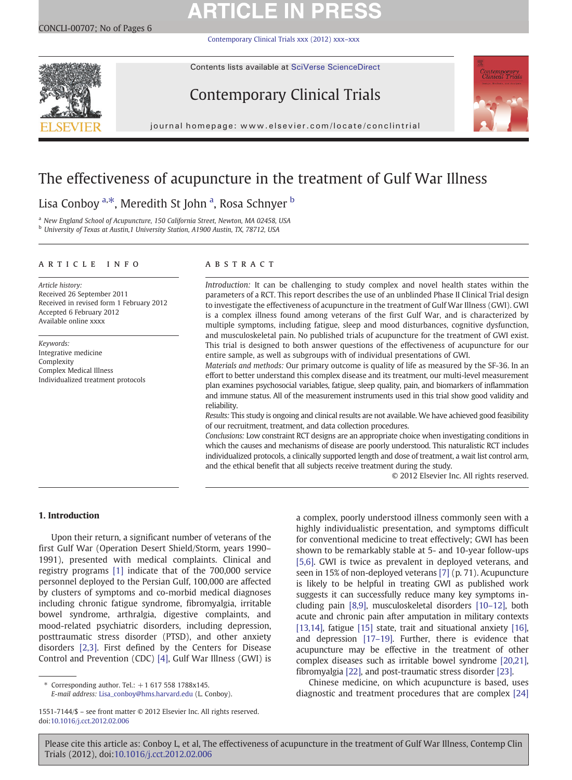# **ARTICLE IN PRESS**

[Contemporary Clinical Trials xxx \(2012\) xxx](http://dx.doi.org/10.1016/j.cct.2012.02.006)–xxx

Contents lists available at SciVerse ScienceDirect



## Contemporary Clinical Trials



journal homepage: www.elsevier.com/locate/conclintrial journal homepage: www.elsevier.com/locate/conclintrial

## The effectiveness of acupuncture in the treatment of Gulf War Illness

## Lisa Conboy <sup>a,\*</sup>, Meredith St John <sup>a</sup>, Rosa Schnyer <sup>b</sup>

<sup>a</sup> New England School of Acupuncture, 150 California Street, Newton, MA 02458, USA b University of Texas at Austin,1 University Station, A1900 Austin, TX, 78712, USA

#### article info abstract

Article history: Received 26 September 2011 Received in revised form 1 February 2012 Accepted 6 February 2012 Available online xxxx

Keywords: Integrative medicine Complexity Complex Medical Illness Individualized treatment protocols

Introduction: It can be challenging to study complex and novel health states within the parameters of a RCT. This report describes the use of an unblinded Phase II Clinical Trial design to investigate the effectiveness of acupuncture in the treatment of Gulf War Illness (GWI). GWI is a complex illness found among veterans of the first Gulf War, and is characterized by multiple symptoms, including fatigue, sleep and mood disturbances, cognitive dysfunction, and musculoskeletal pain. No published trials of acupuncture for the treatment of GWI exist. This trial is designed to both answer questions of the effectiveness of acupuncture for our entire sample, as well as subgroups with of individual presentations of GWI.

Materials and methods: Our primary outcome is quality of life as measured by the SF-36. In an effort to better understand this complex disease and its treatment, our multi-level measurement plan examines psychosocial variables, fatigue, sleep quality, pain, and biomarkers of inflammation and immune status. All of the measurement instruments used in this trial show good validity and reliability.

Results: This study is ongoing and clinical results are not available. We have achieved good feasibility of our recruitment, treatment, and data collection procedures.

Conclusions: Low constraint RCT designs are an appropriate choice when investigating conditions in which the causes and mechanisms of disease are poorly understood. This naturalistic RCT includes individualized protocols, a clinically supported length and dose of treatment, a wait list control arm, and the ethical benefit that all subjects receive treatment during the study.

© 2012 Elsevier Inc. All rights reserved.

#### 1. Introduction

Upon their return, a significant number of veterans of the first Gulf War (Operation Desert Shield/Storm, years 1990– 1991), presented with medical complaints. Clinical and registry programs [\[1\]](#page-4-0) indicate that of the 700,000 service personnel deployed to the Persian Gulf, 100,000 are affected by clusters of symptoms and co-morbid medical diagnoses including chronic fatigue syndrome, fibromyalgia, irritable bowel syndrome, arthralgia, digestive complaints, and mood-related psychiatric disorders, including depression, posttraumatic stress disorder (PTSD), and other anxiety disorders [\[2,3\]](#page-4-0). First defined by the Centers for Disease Control and Prevention (CDC) [\[4\],](#page-4-0) Gulf War Illness (GWI) is

⁎ Corresponding author. Tel.: +1 617 558 1788x145.

E-mail address: [Lisa\\_conboy@hms.harvard.edu](mailto:Lisa_conboy@hms.harvard.edu) (L. Conboy).

a complex, poorly understood illness commonly seen with a highly individualistic presentation, and symptoms difficult for conventional medicine to treat effectively; GWI has been shown to be remarkably stable at 5- and 10-year follow-ups [\[5,6\]](#page-4-0). GWI is twice as prevalent in deployed veterans, and seen in 15% of non-deployed veterans [\[7\]](#page-4-0) (p. 71). Acupuncture is likely to be helpful in treating GWI as published work suggests it can successfully reduce many key symptoms including pain [\[8,9\]](#page-4-0), musculoskeletal disorders [10–[12\],](#page-4-0) both acute and chronic pain after amputation in military contexts [\[13,14\],](#page-4-0) fatigue [\[15\]](#page-5-0) state, trait and situational anxiety [\[16\]](#page-5-0), and depression [\[17](#page-5-0)–19]. Further, there is evidence that acupuncture may be effective in the treatment of other complex diseases such as irritable bowel syndrome [\[20,21\]](#page-5-0), fibromyalgia [\[22\]](#page-5-0), and post-traumatic stress disorder [\[23\]](#page-5-0).

Chinese medicine, on which acupuncture is based, uses diagnostic and treatment procedures that are complex [\[24\]](#page-5-0)

<sup>1551-7144/\$</sup> – see front matter © 2012 Elsevier Inc. All rights reserved. doi[:10.1016/j.cct.2012.02.006](http://dx.doi.org/10.1016/j.cct.2012.02.006)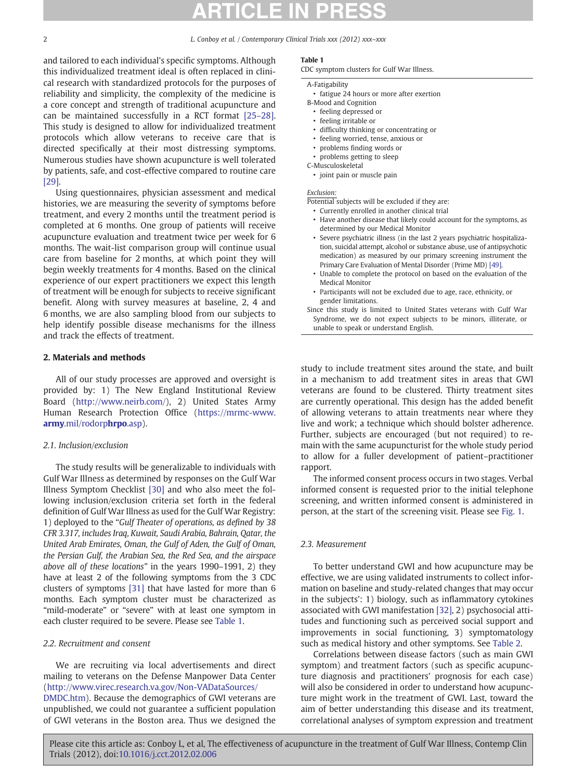2 L. Conboy et al. / Contemporary Clinical Trials xxx (2012) xxx–xxx

and tailored to each individual's specific symptoms. Although this individualized treatment ideal is often replaced in clinical research with standardized protocols for the purposes of reliability and simplicity, the complexity of the medicine is a core concept and strength of traditional acupuncture and can be maintained successfully in a RCT format [25–[28\].](#page-5-0) This study is designed to allow for individualized treatment protocols which allow veterans to receive care that is directed specifically at their most distressing symptoms. Numerous studies have shown acupuncture is well tolerated by patients, safe, and cost-effective compared to routine care [\[29\].](#page-5-0)

Using questionnaires, physician assessment and medical histories, we are measuring the severity of symptoms before treatment, and every 2 months until the treatment period is completed at 6 months. One group of patients will receive acupuncture evaluation and treatment twice per week for 6 months. The wait-list comparison group will continue usual care from baseline for 2 months, at which point they will begin weekly treatments for 4 months. Based on the clinical experience of our expert practitioners we expect this length of treatment will be enough for subjects to receive significant benefit. Along with survey measures at baseline, 2, 4 and 6 months, we are also sampling blood from our subjects to help identify possible disease mechanisms for the illness and track the effects of treatment.

### 2. Materials and methods

All of our study processes are approved and oversight is provided by: 1) The New England Institutional Review Board [\(http://www.neirb.com/\)](http://www.neirb.com/), 2) United States Army Human Research Protection Office [\(https://mrmc-www.](https://mrmc-www.army.mil/rodorphrpo.asp) army[.mil/rodorp](https://mrmc-www.army.mil/rodorphrpo.asp)hrpo.asp).

### 2.1. Inclusion/exclusion

The study results will be generalizable to individuals with Gulf War Illness as determined by responses on the Gulf War Illness Symptom Checklist [\[30\]](#page-5-0) and who also meet the following inclusion/exclusion criteria set forth in the federal definition of Gulf War Illness as used for the Gulf War Registry: 1) deployed to the "Gulf Theater of operations, as defined by 38 CFR 3.317, includes Iraq, Kuwait, Saudi Arabia, Bahrain, Qatar, the United Arab Emirates, Oman, the Gulf of Aden, the Gulf of Oman, the Persian Gulf, the Arabian Sea, the Red Sea, and the airspace above all of these locations" in the years 1990–1991, 2) they have at least 2 of the following symptoms from the 3 CDC clusters of symptoms [\[31\]](#page-5-0) that have lasted for more than 6 months. Each symptom cluster must be characterized as "mild-moderate" or "severe" with at least one symptom in each cluster required to be severe. Please see Table 1.

### 2.2. Recruitment and consent

We are recruiting via local advertisements and direct mailing to veterans on the Defense Manpower Data Center ([http://www.virec.research.va.gov/Non-VADataSources/](http://www.virec.research.va.gov/Non-VADataSources/DMDC.htm) [DMDC.htm](http://www.virec.research.va.gov/Non-VADataSources/DMDC.htm)). Because the demographics of GWI veterans are unpublished, we could not guarantee a sufficient population of GWI veterans in the Boston area. Thus we designed the

#### Table 1

CDC symptom clusters for Gulf War Illness.

### A-Fatigability

• fatigue 24 hours or more after exertion

- B-Mood and Cognition
- feeling depressed or
- feeling irritable or
- difficulty thinking or concentrating or
- feeling worried, tense, anxious or
- problems finding words or • problems getting to sleep
- C-Musculoskeletal
- joint pain or muscle pain

Exclusion:

- Potential subjects will be excluded if they are:
- Currently enrolled in another clinical trial
- Have another disease that likely could account for the symptoms, as determined by our Medical Monitor
- Severe psychiatric illness (in the last 2 years psychiatric hospitalization, suicidal attempt, alcohol or substance abuse, use of antipsychotic medication) as measured by our primary screening instrument the Primary Care Evaluation of Mental Disorder (Prime MD) [\[49\]](#page-5-0).
- Unable to complete the protocol on based on the evaluation of the Medical Monitor
- Participants will not be excluded due to age, race, ethnicity, or gender limitations.
- Since this study is limited to United States veterans with Gulf War Syndrome, we do not expect subjects to be minors, illiterate, or unable to speak or understand English.

study to include treatment sites around the state, and built in a mechanism to add treatment sites in areas that GWI veterans are found to be clustered. Thirty treatment sites are currently operational. This design has the added benefit of allowing veterans to attain treatments near where they live and work; a technique which should bolster adherence. Further, subjects are encouraged (but not required) to remain with the same acupuncturist for the whole study period to allow for a fuller development of patient–practitioner rapport.

The informed consent process occurs in two stages. Verbal informed consent is requested prior to the initial telephone screening, and written informed consent is administered in person, at the start of the screening visit. Please see [Fig. 1.](#page-2-0)

#### 2.3. Measurement

To better understand GWI and how acupuncture may be effective, we are using validated instruments to collect information on baseline and study-related changes that may occur in the subjects': 1) biology, such as inflammatory cytokines associated with GWI manifestation [\[32\],](#page-5-0) 2) psychosocial attitudes and functioning such as perceived social support and improvements in social functioning, 3) symptomatology such as medical history and other symptoms. See [Table 2](#page-2-0).

Correlations between disease factors (such as main GWI symptom) and treatment factors (such as specific acupuncture diagnosis and practitioners' prognosis for each case) will also be considered in order to understand how acupuncture might work in the treatment of GWI. Last, toward the aim of better understanding this disease and its treatment, correlational analyses of symptom expression and treatment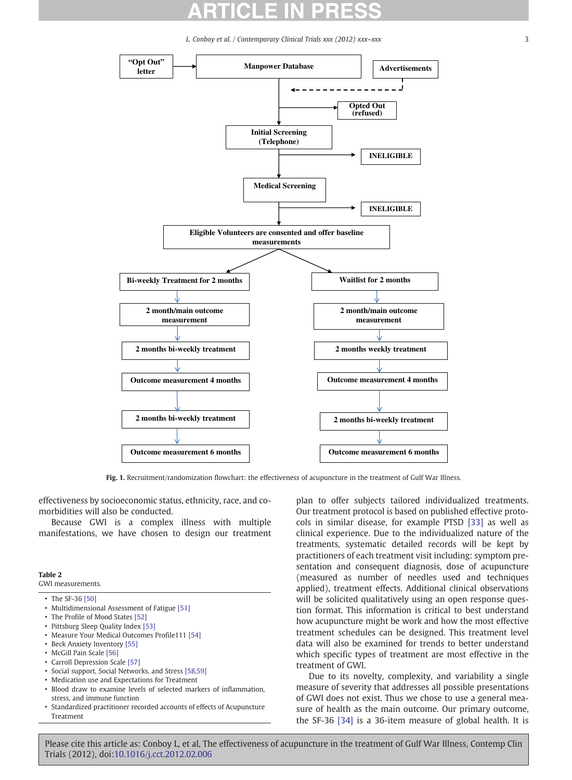L. Conboy et al. / Contemporary Clinical Trials xxx (2012) xxx-xxx

<span id="page-2-0"></span>

Fig. 1. Recruitment/randomization flowchart: the effectiveness of acupuncture in the treatment of Gulf War Illness.

effectiveness by socioeconomic status, ethnicity, race, and comorbidities will also be conducted.

Because GWI is a complex illness with multiple manifestations, we have chosen to design our treatment

#### Table 2

GWI measurements.

- The SF-36 [\[50\]](#page-5-0)
- Multidimensional Assessment of Fatigue [\[51\]](#page-5-0)
- The Profile of Mood States [\[52\]](#page-5-0)
- Pittsburg Sleep Quality Index [\[53\]](#page-5-0)
- Measure Your Medical Outcomes Profile111 [\[54\]](#page-5-0)
- Beck Anxiety Inventory [\[55\]](#page-5-0)
- McGill Pain Scale [\[56\]](#page-5-0)
- Carroll Depression Scale [\[57\]](#page-5-0)
- Social support, Social Networks, and Stress [\[58,59\]](#page-5-0)
- Medication use and Expectations for Treatment • Blood draw to examine levels of selected markers of inflammation, stress, and immune function
- Standardized practitioner recorded accounts of effects of Acupuncture Treatment

plan to offer subjects tailored individualized treatments. Our treatment protocol is based on published effective protocols in similar disease, for example PTSD [\[33\]](#page-5-0) as well as clinical experience. Due to the individualized nature of the treatments, systematic detailed records will be kept by practitioners of each treatment visit including: symptom presentation and consequent diagnosis, dose of acupuncture (measured as number of needles used and techniques applied), treatment effects. Additional clinical observations will be solicited qualitatively using an open response question format. This information is critical to best understand how acupuncture might be work and how the most effective treatment schedules can be designed. This treatment level data will also be examined for trends to better understand which specific types of treatment are most effective in the treatment of GWI.

Due to its novelty, complexity, and variability a single measure of severity that addresses all possible presentations of GWI does not exist. Thus we chose to use a general measure of health as the main outcome. Our primary outcome, the SF-36 [\[34\]](#page-5-0) is a 36-item measure of global health. It is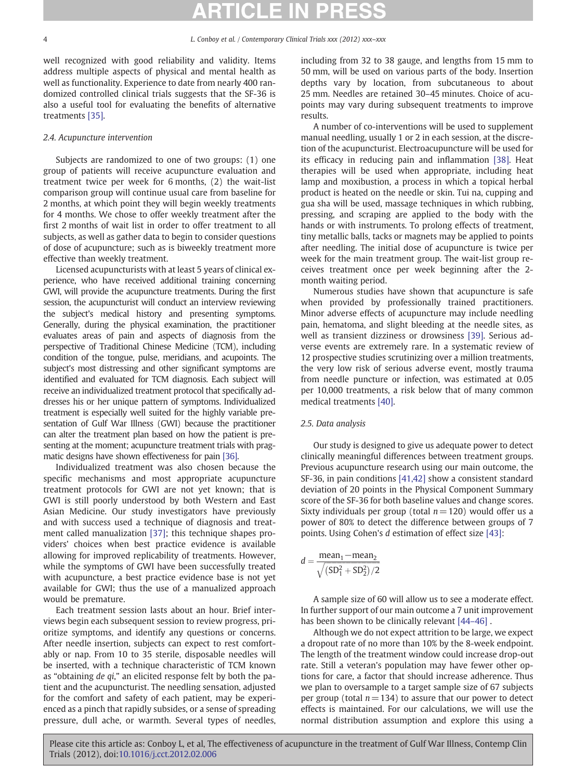well recognized with good reliability and validity. Items address multiple aspects of physical and mental health as well as functionality. Experience to date from nearly 400 randomized controlled clinical trials suggests that the SF-36 is also a useful tool for evaluating the benefits of alternative treatments [\[35\]](#page-5-0).

#### 2.4. Acupuncture intervention

Subjects are randomized to one of two groups: (1) one group of patients will receive acupuncture evaluation and treatment twice per week for 6 months, (2) the wait-list comparison group will continue usual care from baseline for 2 months, at which point they will begin weekly treatments for 4 months. We chose to offer weekly treatment after the first 2 months of wait list in order to offer treatment to all subjects, as well as gather data to begin to consider questions of dose of acupuncture; such as is biweekly treatment more effective than weekly treatment.

Licensed acupuncturists with at least 5 years of clinical experience, who have received additional training concerning GWI, will provide the acupuncture treatments. During the first session, the acupuncturist will conduct an interview reviewing the subject's medical history and presenting symptoms. Generally, during the physical examination, the practitioner evaluates areas of pain and aspects of diagnosis from the perspective of Traditional Chinese Medicine (TCM), including condition of the tongue, pulse, meridians, and acupoints. The subject's most distressing and other significant symptoms are identified and evaluated for TCM diagnosis. Each subject will receive an individualized treatment protocol that specifically addresses his or her unique pattern of symptoms. Individualized treatment is especially well suited for the highly variable presentation of Gulf War Illness (GWI) because the practitioner can alter the treatment plan based on how the patient is presenting at the moment; acupuncture treatment trials with pragmatic designs have shown effectiveness for pain [\[36\].](#page-5-0)

Individualized treatment was also chosen because the specific mechanisms and most appropriate acupuncture treatment protocols for GWI are not yet known; that is GWI is still poorly understood by both Western and East Asian Medicine. Our study investigators have previously and with success used a technique of diagnosis and treatment called manualization [\[37\]](#page-5-0); this technique shapes providers' choices when best practice evidence is available allowing for improved replicability of treatments. However, while the symptoms of GWI have been successfully treated with acupuncture, a best practice evidence base is not yet available for GWI; thus the use of a manualized approach would be premature.

Each treatment session lasts about an hour. Brief interviews begin each subsequent session to review progress, prioritize symptoms, and identify any questions or concerns. After needle insertion, subjects can expect to rest comfortably or nap. From 10 to 35 sterile, disposable needles will be inserted, with a technique characteristic of TCM known as "obtaining de qi," an elicited response felt by both the patient and the acupuncturist. The needling sensation, adjusted for the comfort and safety of each patient, may be experienced as a pinch that rapidly subsides, or a sense of spreading pressure, dull ache, or warmth. Several types of needles,

including from 32 to 38 gauge, and lengths from 15 mm to 50 mm, will be used on various parts of the body. Insertion depths vary by location, from subcutaneous to about 25 mm. Needles are retained 30–45 minutes. Choice of acupoints may vary during subsequent treatments to improve results.

A number of co-interventions will be used to supplement manual needling, usually 1 or 2 in each session, at the discretion of the acupuncturist. Electroacupuncture will be used for its efficacy in reducing pain and inflammation [\[38\]](#page-5-0). Heat therapies will be used when appropriate, including heat lamp and moxibustion, a process in which a topical herbal product is heated on the needle or skin. Tui na, cupping and gua sha will be used, massage techniques in which rubbing, pressing, and scraping are applied to the body with the hands or with instruments. To prolong effects of treatment, tiny metallic balls, tacks or magnets may be applied to points after needling. The initial dose of acupuncture is twice per week for the main treatment group. The wait-list group receives treatment once per week beginning after the 2 month waiting period.

Numerous studies have shown that acupuncture is safe when provided by professionally trained practitioners. Minor adverse effects of acupuncture may include needling pain, hematoma, and slight bleeding at the needle sites, as well as transient dizziness or drowsiness [\[39\].](#page-5-0) Serious adverse events are extremely rare. In a systematic review of 12 prospective studies scrutinizing over a million treatments, the very low risk of serious adverse event, mostly trauma from needle puncture or infection, was estimated at 0.05 per 10,000 treatments, a risk below that of many common medical treatments [\[40\]](#page-5-0).

#### 2.5. Data analysis

Our study is designed to give us adequate power to detect clinically meaningful differences between treatment groups. Previous acupuncture research using our main outcome, the SF-36, in pain conditions [\[41,42\]](#page-5-0) show a consistent standard deviation of 20 points in the Physical Component Summary score of the SF-36 for both baseline values and change scores. Sixty individuals per group (total  $n = 120$ ) would offer us a power of 80% to detect the difference between groups of 7 points. Using Cohen's d estimation of effect size [\[43\]](#page-5-0):

$$
d = \frac{mean_1 - mean_2}{\sqrt{(SD_1^2 + SD_2^2)/2}}
$$

A sample size of 60 will allow us to see a moderate effect. In further support of our main outcome a 7 unit improvement has been shown to be clinically relevant [44–[46\]](#page-5-0) .

Although we do not expect attrition to be large, we expect a dropout rate of no more than 10% by the 8-week endpoint. The length of the treatment window could increase drop-out rate. Still a veteran's population may have fewer other options for care, a factor that should increase adherence. Thus we plan to oversample to a target sample size of 67 subjects per group (total  $n = 134$ ) to assure that our power to detect effects is maintained. For our calculations, we will use the normal distribution assumption and explore this using a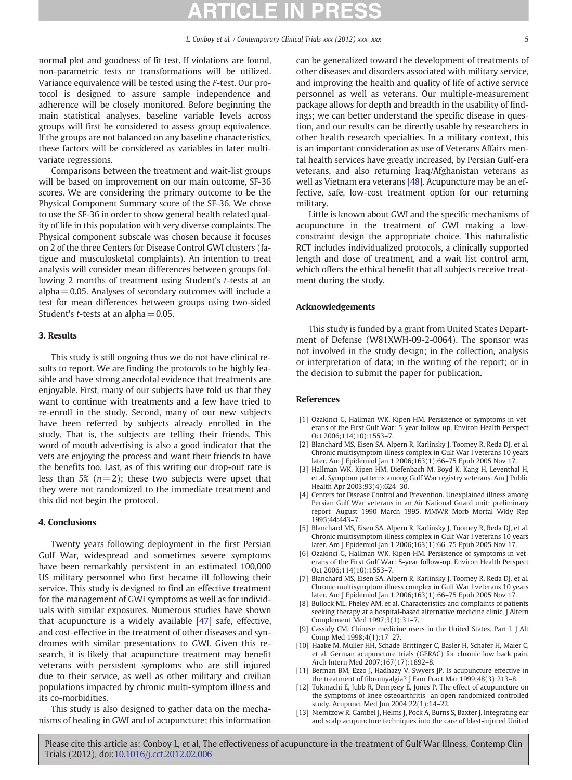<span id="page-4-0"></span>normal plot and goodness of fit test. If violations are found, non-parametric tests or transformations will be utilized. Variance equivalence will be tested using the F-test. Our protocol is designed to assure sample independence and adherence will be closely monitored. Before beginning the main statistical analyses, baseline variable levels across groups will first be considered to assess group equivalence. If the groups are not balanced on any baseline characteristics, these factors will be considered as variables in later multivariate regressions.

Comparisons between the treatment and wait-list groups will be based on improvement on our main outcome, SF-36 scores. We are considering the primary outcome to be the Physical Component Summary score of the SF-36. We chose to use the SF-36 in order to show general health related quality of life in this population with very diverse complaints. The Physical component subscale was chosen because it focuses on 2 of the three Centers for Disease Control GWI clusters (fatigue and musculosketal complaints). An intention to treat analysis will consider mean differences between groups following 2 months of treatment using Student's t-tests at an alpha= 0.05. Analyses of secondary outcomes will include a test for mean differences between groups using two-sided Student's *t*-tests at an alpha $= 0.05$ .

#### 3. Results

This study is still ongoing thus we do not have clinical results to report. We are finding the protocols to be highly feasible and have strong anecdotal evidence that treatments are enjoyable. First, many of our subjects have told us that they want to continue with treatments and a few have tried to re-enroll in the study. Second, many of our new subjects have been referred by subjects already enrolled in the study. That is, the subjects are telling their friends. This word of mouth advertising is also a good indicator that the vets are enjoying the process and want their friends to have the benefits too. Last, as of this writing our drop-out rate is less than 5%  $(n=2)$ ; these two subjects were upset that they were not randomized to the immediate treatment and this did not begin the protocol.

### 4. Conclusions

Twenty years following deployment in the first Persian Gulf War, widespread and sometimes severe symptoms have been remarkably persistent in an estimated 100,000 US military personnel who first became ill following their service. This study is designed to find an effective treatment for the management of GWI symptoms as well as for individuals with similar exposures. Numerous studies have shown that acupuncture is a widely available [\[47\]](#page-5-0) safe, effective, and cost-effective in the treatment of other diseases and syndromes with similar presentations to GWI. Given this research, it is likely that acupuncture treatment may benefit veterans with persistent symptoms who are still injured due to their service, as well as other military and civilian populations impacted by chronic multi-symptom illness and its co-morbidities.

This study is also designed to gather data on the mechanisms of healing in GWI and of acupuncture; this information can be generalized toward the development of treatments of other diseases and disorders associated with military service, and improving the health and quality of life of active service personnel as well as veterans. Our multiple-measurement package allows for depth and breadth in the usability of findings; we can better understand the specific disease in question, and our results can be directly usable by researchers in other health research specialties. In a military context, this is an important consideration as use of Veterans Affairs mental health services have greatly increased, by Persian Gulf-era veterans, and also returning Iraq/Afghanistan veterans as well as Vietnam era veterans [\[48\]](#page-5-0). Acupuncture may be an effective, safe, low-cost treatment option for our returning military.

Little is known about GWI and the specific mechanisms of acupuncture in the treatment of GWI making a lowconstraint design the appropriate choice. This naturalistic RCT includes individualized protocols, a clinically supported length and dose of treatment, and a wait list control arm, which offers the ethical benefit that all subjects receive treatment during the study.

### Acknowledgements

This study is funded by a grant from United States Department of Defense (W81XWH-09-2-0064). The sponsor was not involved in the study design; in the collection, analysis or interpretation of data; in the writing of the report; or in the decision to submit the paper for publication.

#### References

- [1] Ozakinci G, Hallman WK, Kipen HM. Persistence of symptoms in veterans of the First Gulf War: 5-year follow-up. Environ Health Perspect Oct 2006;114(10):1553–7.
- [2] Blanchard MS, Eisen SA, Alpern R, Karlinsky J, Toomey R, Reda DJ, et al. Chronic multisymptom illness complex in Gulf War I veterans 10 years later. Am J Epidemiol Jan 1 2006;163(1):66–75 Epub 2005 Nov 17.
- [3] Hallman WK, Kipen HM, Diefenbach M, Boyd K, Kang H, Leventhal H, et al. Symptom patterns among Gulf War registry veterans. Am J Public Health Apr 2003;93(4):624–30.
- [4] Centers for Disease Control and Prevention. Unexplained illness among Persian Gulf War veterans in an Air National Guard unit: preliminary report—August 1990–March 1995. MMWR Morb Mortal Wkly Rep 1995;44:443–7.
- [5] Blanchard MS, Eisen SA, Alpern R, Karlinsky J, Toomey R, Reda DJ, et al. Chronic multisymptom illness complex in Gulf War I veterans 10 years later. Am J Epidemiol Jan 1 2006;163(1):66–75 Epub 2005 Nov 17.
- [6] Ozakinci G, Hallman WK, Kipen HM. Persistence of symptoms in veterans of the First Gulf War: 5-year follow-up. Environ Health Perspect Oct 2006;114(10):1553–7.
- [7] Blanchard MS, Eisen SA, Alpern R, Karlinsky J, Toomey R, Reda DJ, et al. Chronic multisymptom illness complex in Gulf War I veterans 10 years later. Am J Epidemiol Jan 1 2006;163(1):66–75 Epub 2005 Nov 17.
- [8] Bullock ML, Pheley AM, et al. Characteristics and complaints of patients seeking therapy at a hospital-based alternative medicine clinic. J Altern Complement Med 1997;3(1):31–7.
- [9] Cassidy CM. Chinese medicine users in the United States. Part I. J Alt Comp Med 1998;4(1):17–27.
- [10] Haake M, Muller HH, Schade-Brittinger C, Basler H, Schafer H, Maier C, et al. German acupuncture trials (GERAC) for chronic low back pain. Arch Intern Med 2007;167(17):1892–8.
- [11] Berman BM, Ezzo J, Hadhazy V, Swyers JP. Is acupuncture effective in the treatment of fibromyalgia? J Fam Pract Mar 1999;48(3):213–8.
- [12] Tukmachi E, Jubb R, Dempsey E, Jones P. The effect of acupuncture on the symptoms of knee osteoarthritis—an open randomized controlled study. Acupunct Med Jun 2004;22(1):14–22.
- [13] Niemtzow R, Gambel J, Helms J, Pock A, Burns S, Baxter J. Integrating ear and scalp acupuncture techniques into the care of blast-injured United